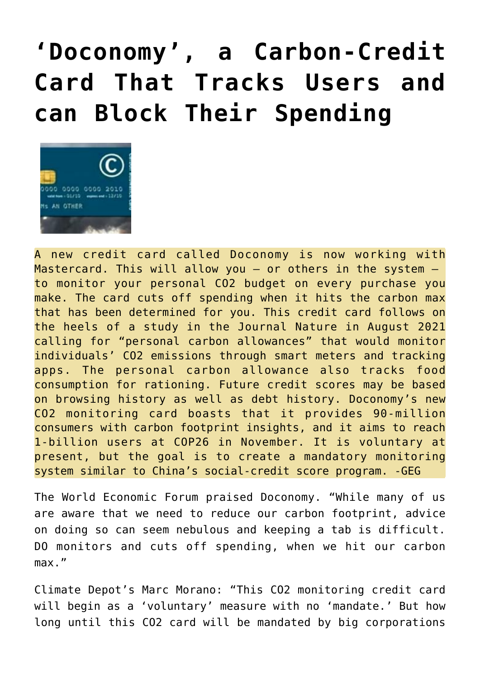## **['Doconomy', a Carbon-Credit](https://needtoknow.news/2021/09/doconomy-a-carbon-credit-card-that-tracks-users-and-can-block-their-spending/) [Card That Tracks Users and](https://needtoknow.news/2021/09/doconomy-a-carbon-credit-card-that-tracks-users-and-can-block-their-spending/) [can Block Their Spending](https://needtoknow.news/2021/09/doconomy-a-carbon-credit-card-that-tracks-users-and-can-block-their-spending/)**



A new credit card called Doconomy is now working with Mastercard. This will allow you  $-$  or others in the system  $$ to monitor your personal CO2 budget on every purchase you make. The card cuts off spending when it hits the carbon max that has been determined for you. This credit card follows on the heels of a study in the Journal Nature in August 2021 calling for "personal carbon allowances" that would monitor individuals' CO2 emissions through smart meters and tracking apps. The personal carbon allowance also tracks food consumption for rationing. Future credit scores may be based on browsing history as well as debt history. Doconomy's new CO2 monitoring card boasts that it provides 90-million consumers with carbon footprint insights, and it aims to reach 1-billion users at COP26 in November. It is voluntary at present, but the goal is to create a mandatory monitoring system similar to China's social-credit score program. -GEG

The World Economic Forum praised Doconomy. "While many of us are aware that we need to reduce our carbon footprint, advice on doing so can seem nebulous and keeping a tab is difficult. DO monitors and cuts off spending, when we hit our carbon max."

Climate Depot's Marc Morano: "This CO2 monitoring credit card will begin as a 'voluntary' measure with no 'mandate.' But how long until this CO2 card will be mandated by big corporations